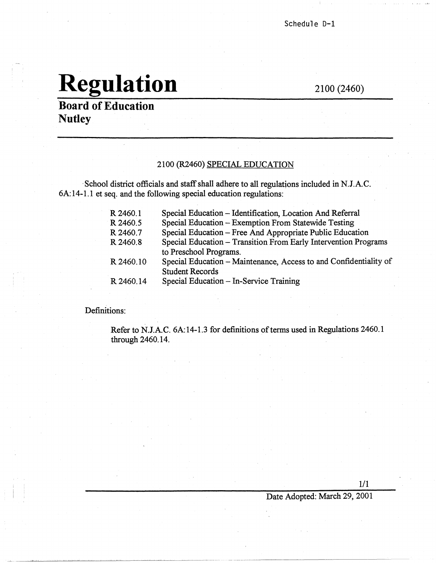## Regulation 2100 (2460)

**·Board of Education Nutley** 

#### 2100 (R2460) SPECIAL EDUCATION

· School district officials and staff shall adhere to all regulations included in N.J.AC. 6A:14-1.1 et seq. and the following special education regulations:

| R 2460.1  | Special Education - Identification, Location And Referral         |
|-----------|-------------------------------------------------------------------|
| R 2460.5  | Special Education – Exemption From Statewide Testing              |
| R 2460.7  | Special Education - Free And Appropriate Public Education         |
| R 2460.8  | Special Education - Transition From Early Intervention Programs   |
|           | to Preschool Programs.                                            |
| R 2460.10 | Special Education – Maintenance, Access to and Confidentiality of |
|           | <b>Student Records</b>                                            |
| R 2460.14 | Special Education - In-Service Training                           |

Definitions:

Refer to N.J.AC. 6A:14-1.3 for definitions of terms used in Regulations 2460.1 through 2460.14.

1/1

Date Adopted: March 29, 2001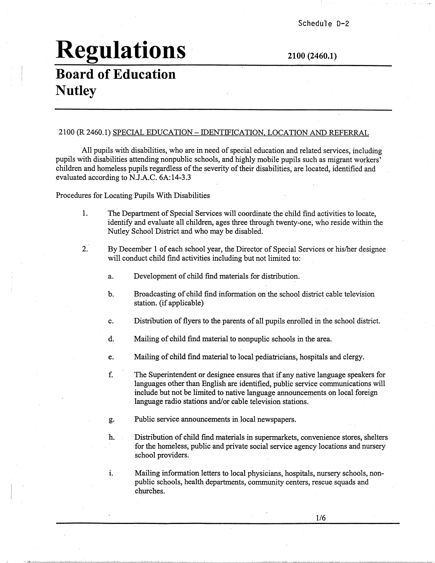## **Regulations 2100 (2460.1)**

### **Board of Education N-utley**

#### 2100 (R 2460.1) SPECIAL EDUCATION - IDENTIFICATION. LOCATION AND REFERRAL

All pupils with disabilities, who are in need of special education and related services, including pupils with disabilities attending nonpublic schools, and highly mobile pupils such as migrant workers' children and homeless pupils regardless of the severity of their disabilities, are located, identified and evaluated according to N.J.A.C. 6A:14-3.3

Procedures for Locating Pupils With Disabilities

- 1. The Department of Special Services will coordinate the child find activities to locate, identify and evaluate all children, ages three through twenty-one, who reside within the Nutley School District and who may be disabled.
- 2. By December 1 of each school year, the Director of Special Services or his/her designee will conduct child find activities including but not limited to:
	- a. Development of child find materials for distribution.
	- b. Broadcasting of child find information on the school district cable television station. (if applicable)
	- c. Distribution of flyers to the parents of all pupils enrolled in the school district.
	- d. Mailing of child find material to nonpuplic schools in the area.
	- e. Mailing of child find material to local pediatricians, hospitals and clergy.
	- f. The Superintendent or designee ensures that if any native language speakers for languages other than English are identified, public service communications will include but not be limited to native language announcements on local foreign language radio stations and/or cable television stations.
	- g. Public service announcements in local newspapers.
	- h. Distribution of child find materials in supermarkets, convenience stores, shelters for the homeless, public and private social service agency locations and nursery school providers.
	- i. Mailing information letters to local physicians, hospitals, nursery schools, nonpublic schools, health departments, community centers, rescue squads and churches.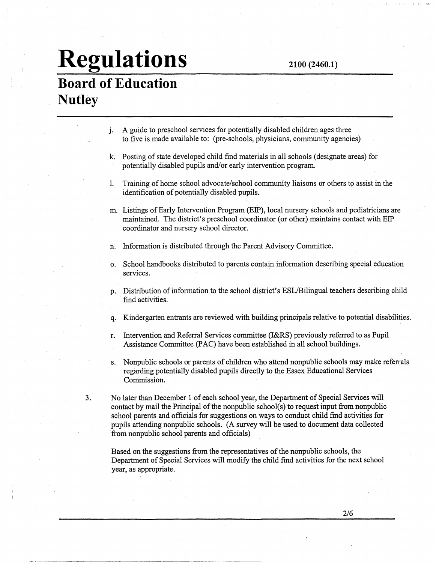### **Regulations Board of Education Nutley**

- j. A guide to preschool services for potentially disabled children ages three to five is made available to: (pre-schools, physicians, community agencies)
- k. Posting of state developed child find materials in all schools ( designate areas) for potentially disabled pupils and/or early intervention program.
- I. Training of home school advocate/school community liaisons or others to assist in the identification of potentially disabled pupils.
- m. Listings of Early Intervention Program (EIP), local nursery schools and pediatricians are maintained. The district's preschool coordinator (or other) maintains contact with EIP coordinator and nursery school director.
- n. Information is distributed through the Parent Advisory Committee.
- o. School handbooks distributed to parents contain information describing special education services.
- p. Distribution of information to the school district's ESL/Bilingual teachers describing child find activities.
- q. Kindergarten entrants are reviewed with building principals relative to potential disabilities.
- r. Intervention and Referral Services committee (I&RS) previously referred to as Pupil Assistance Committee (PAC) have been established in all school buildings.
- s. Nonpublic schools or parents of children who attend nonpublic schools may make referrals regarding potentially disabled pupils directly to the Essex Educational Services Commission.
- 3. No later than December 1 of each school year, the Department of Special Services will contact by mail the Principal of the nonpublic school(s) to request input from nonpublic school parents and officials for suggestions on ways to conduct child find activities for pupils attending nonpublic schools. (A survey will be used to document data collected from nonpublic school parents and officials)

Based on the suggestions from the representatives of the nonpublic schools, the Department of Special Services will modify the child find activities for the next school year, as appropriate.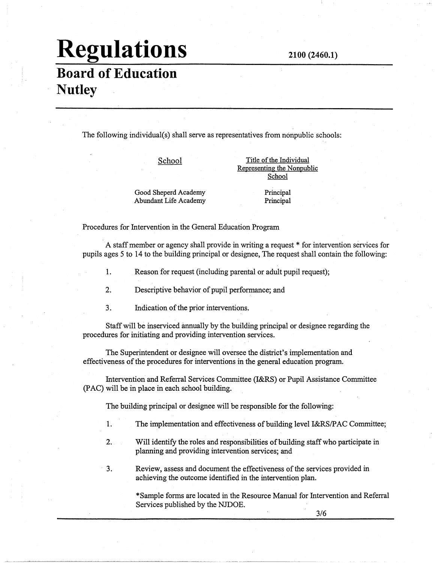#### **2100 (2460.1)**

## **Regulations**

### **Board of Education Nutley**

The following individual(s) shall serve as representatives from nonpublic schools:

School

Title of the Individual Representing the Nonpublic School

Good Sheperd Academy Abundant Life Academy Principal Principal

Procedures for Intervention in the General Education Program

A staff member or agency shall provide in writing a request \* for intervention services for pupils ages 5 to 14 to the building principal or designee, The request shall contain the following:

- 1. Reason for request (including parental or adult pupil request);
- 2. Descriptive behavior of pupil performance; and
- 3. Indication of the prior interventions.

Staff will be inserviced annually by the building principal or designee regarding the procedures for initiating and providing intervention services.

The Superintendent or designee will oversee the district's implementation and effectiveness of the procedures for interventions in the general education program.

Intervention and Referral Services Committee (I&RS) or Pupil Assistance Committee (PAC) will be in place in each school building.

The building principal or designee will be responsible for the following:

- 1. The implementation and effectiveness of building level I&RS/P AC Committee;
- 2. Will identify the roles and responsibilities of building staff who participate in planning and providing intervention services; and
- 3. Review, assess and document the effectiveness of the services provided in achieving the outcome identified in the intervention plan.

\*Sample forms are located in the Resource Manual for Intervention and Referral Services published by the NJDOE.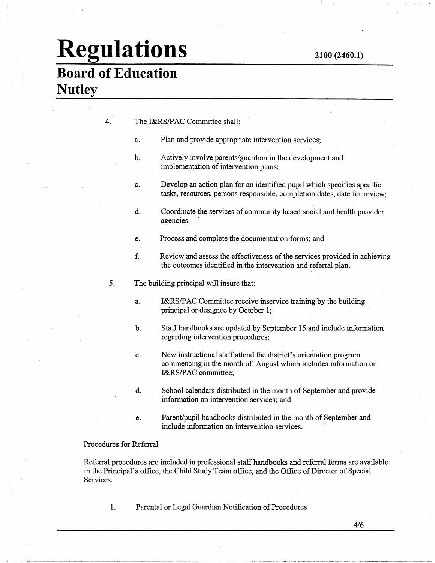## **Regulations 2100 (2460.1)**

### **Board of Education Nutley**

| The I&RS/PAC Committee shall: |  |
|-------------------------------|--|
|                               |  |

- a. Plan and provide appropriate intervention services;
- b. Actively involve parents/guardian in the development and implementation of intervention plans;
- c. Develop an action plan for an identified pupil which specifies specific tasks, resources, persons responsible, completion dates, date for review;
- d. Coordinate the services of community based social and health provider agencies.
- e. Process and complete the documentation forms; and
- f. Review and assess the effectiveness of the services provided in achieving the outcomes identified in the intervention and referral plan.
- 5. The building principal will insure that:
	- a. I&RS/PAC Committee receive inservice training by the building principal or designee by October 1;
	- b. Staff handbooks are updated by September 15 and include information regarding intervention procedures;
	- c. New instructional staff attend the district's orientation program commencing in the month of August which includes information on I&RS/PAC committee;
	- d. School calendars distributed in the month of September and provide information on intervention services; and
	- e. Parent/pupil handbooks distributed in the month of September and include information on intervention services.

#### Procedures for Referral

Referral procedures are included in professional staff handbooks and referral forms are available in the Principal's office, the Child Study Team office, and the Office of Director of Special Services.

1. Parental or Legal Guardian Notification of Procedures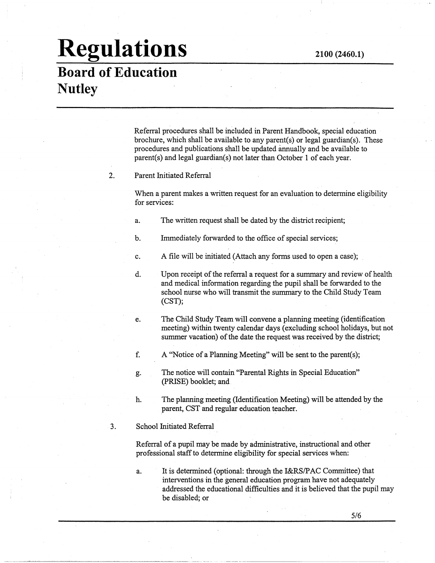# **Regulations 2100 (2460.1)**

### **Board of Education Nutley**

Referral procedures shall be included in Parent Handbook, special education brochure, which shall be available to any parent(s) or legal guardian(s). These procedures and publications shall be updated annually and be available to parent(s) and legal guardian(s) not later than October 1 of each year.

#### 2. Parent Initiated Referral

When a parent makes a written request for an evaluation to determine eligibility for services:

- a. The written request shall be dated by the district recipient;
- b. Immediately forwarded to the office of special services;
- c. A file will be initiated (Attach any forms used to open a case);
- d. Upon receipt of the referral a request for a summary and review of health and medical information regarding the pupil shall be forwarded to the school nurse who will transmit the summary to the Child Study Team (CST);
- e. The Child Study Team will convene a planning meeting (identification meeting) within twenty calendar days ( excluding school holidays, but not summer vacation) of the date the request was received by the district;
- f. A "Notice of a Planning Meeting" will be sent to the parent(s);
- g. The notice will contain "Parental Rights in Special Education" (PRISE) booklet; and.
- h. The planning meeting (Identification Meeting) will be attended by the parent, CST and regular education teacher.

#### 3. School Initiated Referral

Referral of a pupil may be made by administrative, instructional and other professional staff to determine eligibility for special services when:

- . ---·---·-------------

a. It is determined ( optional: through the l&RS/P AC Committee) that interventions in the general education program have not adequately addressed the educational difficulties and it is believed that the pupil may be disabled; or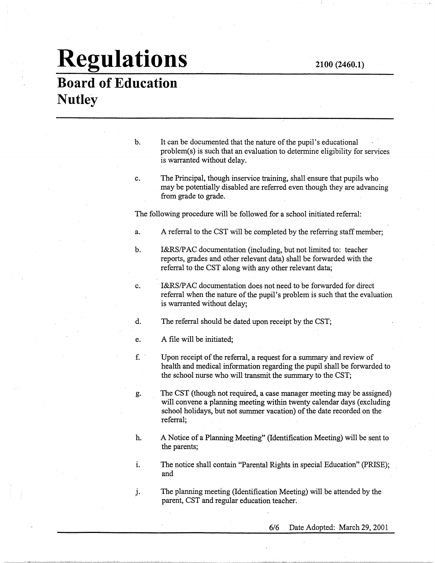# **Regulations**

### **Board of Education Nutley**

b. It can be documented that the nature of the pupil's educational problem(s) is such that an evaluation to determine eligibility for services is warranted without delay.

#### c. The Principal, though inservice training, shall ensure that pupils who may be potentially disabled are referred even though they are advancing from grade to grade.

The following procedure will be followed for a school initiated referral:

- a. A referral to the CST will be completed by the referring staff member;
- b. I&RS/PAC documentation (including, but not limited to: teacher reports, grades and other relevant data) shall be forwarded with the referral to the CST along with any other relevant data;
- c. **I&RS/PAC** documentation does not need to be forwarded for direct referral when the nature of the pupil's problem is such that the evaluation is warranted without delay;
- d. The referral should be dated upon receipt by the CST;

e. A file will be initiated;

- f. · Upon receipt of the referral, a request for a summary and.review of health and medical information regarding the pupil shall be forwarded to the school nurse who will transmit the summary to the CST;
- g. The CST (though not required, a case manager meeting may be assigned) will convene a planning meeting within twenty calendar days (excluding school holidays, but not summer vacation) of the date recorded on the. referral;
- h. A Notice of a Planning Meeting" (Identification Meeting) will be sent to the parents;
- i. The notice shall contain "Parental Rights in special Education" (PRISE); and

j. The planning meeting (Identification Meeting) will be attended by the parent, CST and regular education teacher.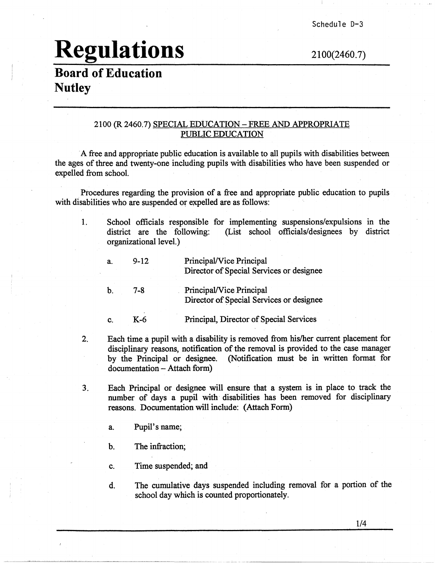## **Regulations** 2100(2460. 7)

### **Board of Education Nutley**

#### 2100 (R 2460.7) SPECIAL EDUCATION -FREE AND APPROPRIATE PUBLIC EDUCATION

· A free and appropriate public education is available to all pupils with disabilities between the ages of three and twenty-one including pupils with disabilities who have been suspended or expelled from school.

Procedures regarding the provision of a free and appropriate public education to pupils with disabilities who are suspended or expelled are as follows:

1. School officials responsible for implementing suspensions/expulsions in the district are the following: (List school officials/designees by district organizational level.)

| $a$ . | $9 - 12$ | Principal/Vice Principal<br>Director of Special Services or designee |
|-------|----------|----------------------------------------------------------------------|
| b     | 7-8      | Principal/Vice Principal<br>Director of Special Services or designee |
|       | K-6      | Principal, Director of Special Services                              |

- 2. Each time a pupil with a disability is removed from his/her current placement for disciplinary reasons, notification of the removal is provided to the case manager by the Principal or designee. (Notification must be in written format for documentation - Attach form)
- 3. Each Principal or designee will ensure that a system is in place to track the number of days a pupil with disabilities has been removed for disciplinary reasons. Documentation will include: (Attach Fonn)
	- a. Pupil's name;
	- b. The infraction;
	- c. Time suspended; and
	- d. The cumulative days suspended including removal for a portion of the school day which is counted proportionately.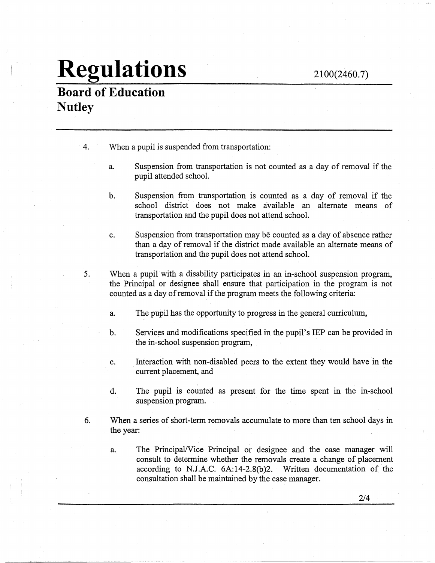2100(2460.7)

## **Regulations**

**Board of Education Nutley** 

- 4. When a pupil is suspended from transportation:
	- a. Suspension from transportation is not counted as a day of removal if the pupil attended school.
	- b. Suspension from transportation is counted as a day of removal if the school district does not make available an alternate means of transportation and the pupil does not attend school.
	- c. Suspension from transportation may be counted as a day of absence rather than a day of removal if the district made available an alternate means of transportation and the pupil does not attend school.
- 5. When a pupil with a disability participates in an in-school suspension program, the Principal or designee shall ensure that participation in the program is not counted as a day of removal if the program meets the following criteria:
	- a. The pupil has the opportunity to progress in the general curriculum,
	- b.. Services and modifications specified in the pupil's IBP can be provided in the in-school suspension program,
	- c. Interaction with non-disabled peers to the extent they would have in the current placement, and
	- d. The pupil is counted as present for the time spent in the in-school suspension program.
- 6. When a series of short-term removals accumulate to more than ten school days in the year:
	- a. The Principal/Vice Principal or designee and the case manager will consult to determine whether the removals create a change of placement according to N.J.A.C. 6A:14-2.8(b)2. Written documentation of the consultation shall be maintained by the case manager.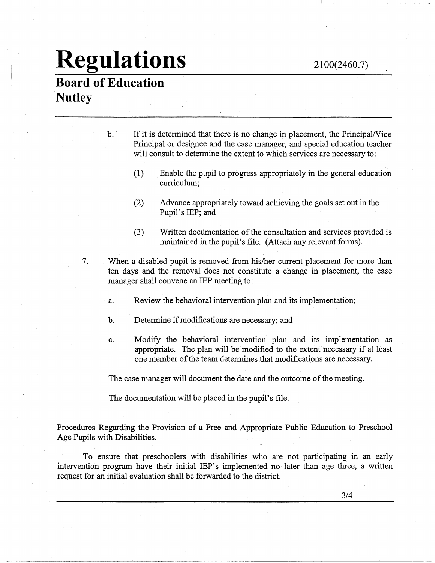## **Regulations**

2100(2460.7)

### **Board of Education Nutley**

b. If it is determined that there is no change in placement, the Principal/Vice Principal or designee and the case manager, and special education teacher will consult to determine the extent to which services are necessary to:

- (1). \_Enable the pupil to progress appropriately in the general education curriculum;
- (2) Advance appropriately toward achieving the goals set out in the Pupil's IEP; and
- (3) Written documentation of the consultation and services provided is maintained in the pupil's file. (Attach any relevant forms).
- 7. When a disabled pupil is removed from his/her current placement for more than ten days and the removal does not constitute a change in placement, the case manager shall convene an IBP meeting to:
	- a. Review the behavioral intervention plan and its implementation;
	- b. Determine if modifications are necessary; and
	- c. Modify the behavioral intervention plan and its implementation as appropriate. The plan will be modified to the extent necessary if at least one member of the team determines that modifications are necessary.

··-·-·-··------ ·-------------------

The case manager will document the date and the outcome of the meeting.

The documentation will be placed in the pupil's file.

Procedures Regarding the Provision of a Free and Appropriate Public Education to Preschool Age Pupils with Disabilities.

To ensure that preschoolers with disabilities who are not participating in an early intervention program have their initial IEP's implemented no later than age three, a written request for an initial evaluation shall be forwarded to the district.